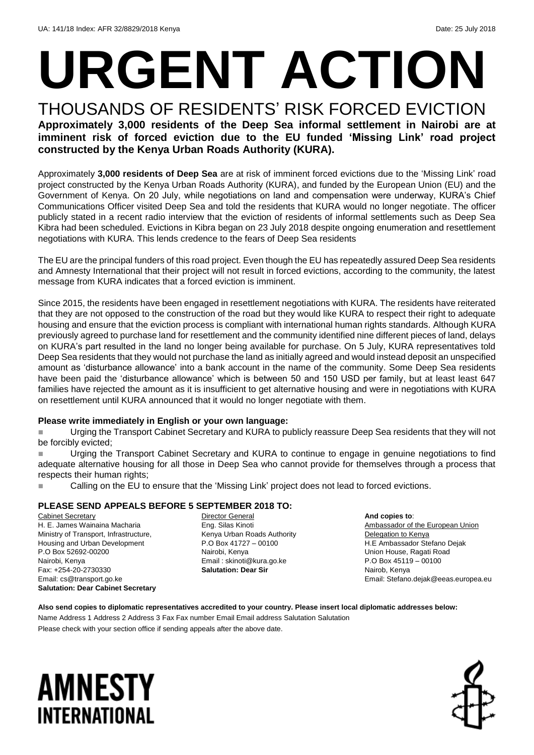# **URGENT ACTION**

THOUSANDS OF RESIDENTS' RISK FORCED EVICTION **Approximately 3,000 residents of the Deep Sea informal settlement in Nairobi are at imminent risk of forced eviction due to the EU funded 'Missing Link' road project constructed by the Kenya Urban Roads Authority (KURA).**

Approximately **3,000 residents of Deep Sea** are at risk of imminent forced evictions due to the 'Missing Link' road project constructed by the Kenya Urban Roads Authority (KURA), and funded by the European Union (EU) and the Government of Kenya. On 20 July, while negotiations on land and compensation were underway, KURA's Chief Communications Officer visited Deep Sea and told the residents that KURA would no longer negotiate. The officer publicly stated in a recent radio interview that the eviction of residents of informal settlements such as Deep Sea Kibra had been scheduled. Evictions in Kibra began on 23 July 2018 despite ongoing enumeration and resettlement negotiations with KURA. This lends credence to the fears of Deep Sea residents

The EU are the principal funders of this road project. Even though the EU has repeatedly assured Deep Sea residents and Amnesty International that their project will not result in forced evictions, according to the community, the latest message from KURA indicates that a forced eviction is imminent.

Since 2015, the residents have been engaged in resettlement negotiations with KURA. The residents have reiterated that they are not opposed to the construction of the road but they would like KURA to respect their right to adequate housing and ensure that the eviction process is compliant with international human rights standards. Although KURA previously agreed to purchase land for resettlement and the community identified nine different pieces of land, delays on KURA's part resulted in the land no longer being available for purchase. On 5 July, KURA representatives told Deep Sea residents that they would not purchase the land as initially agreed and would instead deposit an unspecified amount as 'disturbance allowance' into a bank account in the name of the community. Some Deep Sea residents have been paid the 'disturbance allowance' which is between 50 and 150 USD per family, but at least least 647 families have rejected the amount as it is insufficient to get alternative housing and were in negotiations with KURA on resettlement until KURA announced that it would no longer negotiate with them.

#### **Please write immediately in English or your own language:**

 Urging the Transport Cabinet Secretary and KURA to publicly reassure Deep Sea residents that they will not be forcibly evicted;

 Urging the Transport Cabinet Secretary and KURA to continue to engage in genuine negotiations to find adequate alternative housing for all those in Deep Sea who cannot provide for themselves through a process that respects their human rights;

**EXECT** Calling on the EU to ensure that the 'Missing Link' project does not lead to forced evictions.

#### **PLEASE SEND APPEALS BEFORE 5 SEPTEMBER 2018 TO:**

Cabinet Secretary H. E. James Wainaina Macharia Ministry of Transport, Infrastructure, Housing and Urban Development P.O Box 52692-00200 Nairobi, Kenya Fax: +254-20-2730330 Email: cs@transport.go.ke **Salutation: Dear Cabinet Secretary** Director General Eng. Silas Kinoti Kenya Urban Roads Authority P.O Box 41727 – 00100 Nairobi, Kenya Email : skinoti@kura.go.ke **Salutation: Dear Sir**

**And copies to**: Ambassador of the European Union Delegation to Kenya H.E Ambassador Stefano Dejak Union House, Ragati Road P.O Box 45119 – 00100 Nairob, Kenya Email: Stefano.dejak@eeas.europea.eu

### **Also send copies to diplomatic representatives accredited to your country. Please insert local diplomatic addresses below:**

Name Address 1 Address 2 Address 3 Fax Fax number Email Email address Salutation Salutation Please check with your section office if sending appeals after the above date.